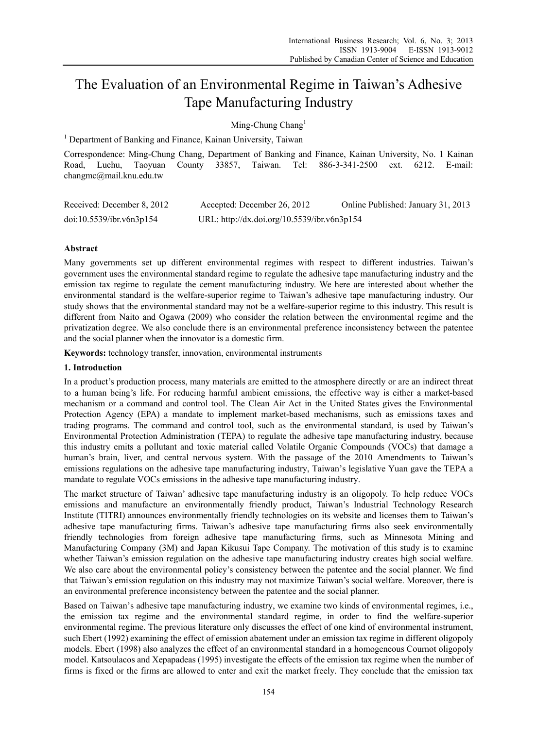# The Evaluation of an Environmental Regime in Taiwan's Adhesive Tape Manufacturing Industry

Ming-Chung Chang<sup>1</sup>

<sup>1</sup> Department of Banking and Finance, Kainan University, Taiwan

Correspondence: Ming-Chung Chang, Department of Banking and Finance, Kainan University, No. 1 Kainan Road, Luchu, Taoyuan County 33857, Taiwan. Tel: 886-3-341-2500 ext. 6212. E-mail: changmc@mail.knu.edu.tw

| Received: December 8, 2012 | Accepted: December 26, 2012                 | Online Published: January 31, 2013 |
|----------------------------|---------------------------------------------|------------------------------------|
| doi:10.5539/ibr.v6n3p154   | URL: http://dx.doi.org/10.5539/ibr.v6n3p154 |                                    |

# **Abstract**

Many governments set up different environmental regimes with respect to different industries. Taiwan's government uses the environmental standard regime to regulate the adhesive tape manufacturing industry and the emission tax regime to regulate the cement manufacturing industry. We here are interested about whether the environmental standard is the welfare-superior regime to Taiwan's adhesive tape manufacturing industry. Our study shows that the environmental standard may not be a welfare-superior regime to this industry. This result is different from Naito and Ogawa (2009) who consider the relation between the environmental regime and the privatization degree. We also conclude there is an environmental preference inconsistency between the patentee and the social planner when the innovator is a domestic firm.

**Keywords:** technology transfer, innovation, environmental instruments

## **1. Introduction**

In a product's production process, many materials are emitted to the atmosphere directly or are an indirect threat to a human being's life. For reducing harmful ambient emissions, the effective way is either a market-based mechanism or a command and control tool. The Clean Air Act in the United States gives the Environmental Protection Agency (EPA) a mandate to implement market-based mechanisms, such as emissions taxes and trading programs. The command and control tool, such as the environmental standard, is used by Taiwan's Environmental Protection Administration (TEPA) to regulate the adhesive tape manufacturing industry, because this industry emits a pollutant and toxic material called Volatile Organic Compounds (VOCs) that damage a human's brain, liver, and central nervous system. With the passage of the 2010 Amendments to Taiwan's emissions regulations on the adhesive tape manufacturing industry, Taiwan's legislative Yuan gave the TEPA a mandate to regulate VOCs emissions in the adhesive tape manufacturing industry.

The market structure of Taiwan' adhesive tape manufacturing industry is an oligopoly. To help reduce VOCs emissions and manufacture an environmentally friendly product, Taiwan's Industrial Technology Research Institute (TITRI) announces environmentally friendly technologies on its website and licenses them to Taiwan's adhesive tape manufacturing firms. Taiwan's adhesive tape manufacturing firms also seek environmentally friendly technologies from foreign adhesive tape manufacturing firms, such as Minnesota Mining and Manufacturing Company (3M) and Japan Kikusui Tape Company. The motivation of this study is to examine whether Taiwan's emission regulation on the adhesive tape manufacturing industry creates high social welfare. We also care about the environmental policy's consistency between the patentee and the social planner. We find that Taiwan's emission regulation on this industry may not maximize Taiwan's social welfare. Moreover, there is an environmental preference inconsistency between the patentee and the social planner.

Based on Taiwan's adhesive tape manufacturing industry, we examine two kinds of environmental regimes, i.e., the emission tax regime and the environmental standard regime, in order to find the welfare-superior environmental regime. The previous literature only discusses the effect of one kind of environmental instrument, such Ebert (1992) examining the effect of emission abatement under an emission tax regime in different oligopoly models. Ebert (1998) also analyzes the effect of an environmental standard in a homogeneous Cournot oligopoly model. Katsoulacos and Xepapadeas (1995) investigate the effects of the emission tax regime when the number of firms is fixed or the firms are allowed to enter and exit the market freely. They conclude that the emission tax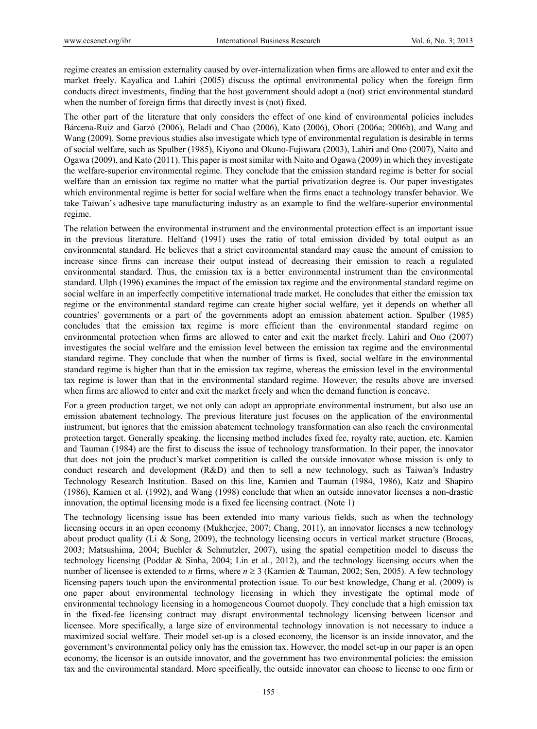regime creates an emission externality caused by over-internalization when firms are allowed to enter and exit the market freely. Kayalica and Lahiri (2005) discuss the optimal environmental policy when the foreign firm conducts direct investments, finding that the host government should adopt a (not) strict environmental standard when the number of foreign firms that directly invest is (not) fixed.

The other part of the literature that only considers the effect of one kind of environmental policies includes Bárcena-Ruiz and Garzó (2006), Beladi and Chao (2006), Kato (2006), Ohori (2006a; 2006b), and Wang and Wang (2009). Some previous studies also investigate which type of environmental regulation is desirable in terms of social welfare, such as Spulber (1985), Kiyono and Okuno-Fujiwara (2003), Lahiri and Ono (2007), Naito and Ogawa (2009), and Kato (2011). This paper is most similar with Naito and Ogawa (2009) in which they investigate the welfare-superior environmental regime. They conclude that the emission standard regime is better for social welfare than an emission tax regime no matter what the partial privatization degree is. Our paper investigates which environmental regime is better for social welfare when the firms enact a technology transfer behavior. We take Taiwan's adhesive tape manufacturing industry as an example to find the welfare-superior environmental regime.

The relation between the environmental instrument and the environmental protection effect is an important issue in the previous literature. Helfand (1991) uses the ratio of total emission divided by total output as an environmental standard. He believes that a strict environmental standard may cause the amount of emission to increase since firms can increase their output instead of decreasing their emission to reach a regulated environmental standard. Thus, the emission tax is a better environmental instrument than the environmental standard. Ulph (1996) examines the impact of the emission tax regime and the environmental standard regime on social welfare in an imperfectly competitive international trade market. He concludes that either the emission tax regime or the environmental standard regime can create higher social welfare, yet it depends on whether all countries' governments or a part of the governments adopt an emission abatement action. Spulber (1985) concludes that the emission tax regime is more efficient than the environmental standard regime on environmental protection when firms are allowed to enter and exit the market freely. Lahiri and Ono (2007) investigates the social welfare and the emission level between the emission tax regime and the environmental standard regime. They conclude that when the number of firms is fixed, social welfare in the environmental standard regime is higher than that in the emission tax regime, whereas the emission level in the environmental tax regime is lower than that in the environmental standard regime. However, the results above are inversed when firms are allowed to enter and exit the market freely and when the demand function is concave.

For a green production target, we not only can adopt an appropriate environmental instrument, but also use an emission abatement technology. The previous literature just focuses on the application of the environmental instrument, but ignores that the emission abatement technology transformation can also reach the environmental protection target. Generally speaking, the licensing method includes fixed fee, royalty rate, auction, etc. Kamien and Tauman (1984) are the first to discuss the issue of technology transformation. In their paper, the innovator that does not join the product's market competition is called the outside innovator whose mission is only to conduct research and development (R&D) and then to sell a new technology, such as Taiwan's Industry Technology Research Institution. Based on this line, Kamien and Tauman (1984, 1986), Katz and Shapiro (1986), Kamien et al. (1992), and Wang (1998) conclude that when an outside innovator licenses a non-drastic innovation, the optimal licensing mode is a fixed fee licensing contract. (Note 1)

The technology licensing issue has been extended into many various fields, such as when the technology licensing occurs in an open economy (Mukherjee, 2007; Chang, 2011), an innovator licenses a new technology about product quality (Li & Song, 2009), the technology licensing occurs in vertical market structure (Brocas, 2003; Matsushima, 2004; Buehler & Schmutzler, 2007), using the spatial competition model to discuss the technology licensing (Poddar & Sinha, 2004; Lin et al., 2012), and the technology licensing occurs when the number of licensee is extended to *n* firms, where *n* ≥ 3 (Kamien & Tauman, 2002; Sen, 2005). A few technology licensing papers touch upon the environmental protection issue. To our best knowledge, Chang et al. (2009) is one paper about environmental technology licensing in which they investigate the optimal mode of environmental technology licensing in a homogeneous Cournot duopoly. They conclude that a high emission tax in the fixed-fee licensing contract may disrupt environmental technology licensing between licensor and licensee. More specifically, a large size of environmental technology innovation is not necessary to induce a maximized social welfare. Their model set-up is a closed economy, the licensor is an inside innovator, and the government's environmental policy only has the emission tax. However, the model set-up in our paper is an open economy, the licensor is an outside innovator, and the government has two environmental policies: the emission tax and the environmental standard. More specifically, the outside innovator can choose to license to one firm or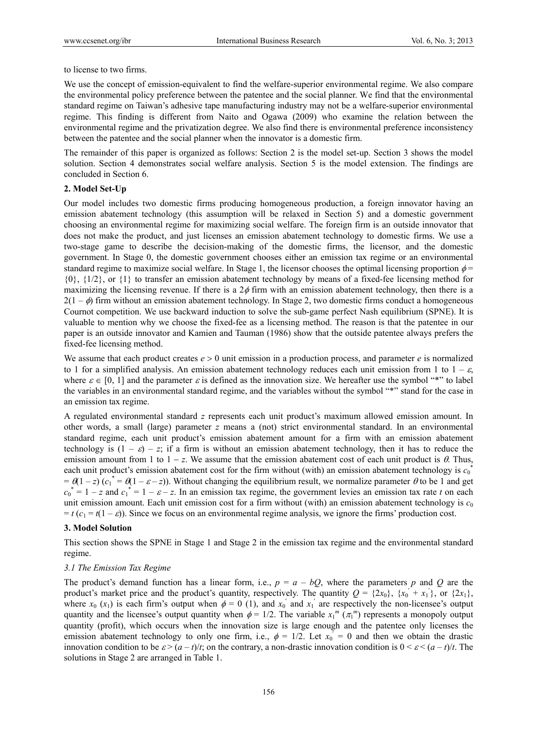to license to two firms.

We use the concept of emission-equivalent to find the welfare-superior environmental regime. We also compare the environmental policy preference between the patentee and the social planner. We find that the environmental standard regime on Taiwan's adhesive tape manufacturing industry may not be a welfare-superior environmental regime. This finding is different from Naito and Ogawa (2009) who examine the relation between the environmental regime and the privatization degree. We also find there is environmental preference inconsistency between the patentee and the social planner when the innovator is a domestic firm.

The remainder of this paper is organized as follows: Section 2 is the model set-up. Section 3 shows the model solution. Section 4 demonstrates social welfare analysis. Section 5 is the model extension. The findings are concluded in Section 6.

# **2. Model Set-Up**

Our model includes two domestic firms producing homogeneous production, a foreign innovator having an emission abatement technology (this assumption will be relaxed in Section 5) and a domestic government choosing an environmental regime for maximizing social welfare. The foreign firm is an outside innovator that does not make the product, and just licenses an emission abatement technology to domestic firms. We use a two-stage game to describe the decision-making of the domestic firms, the licensor, and the domestic government. In Stage 0, the domestic government chooses either an emission tax regime or an environmental standard regime to maximize social welfare. In Stage 1, the licensor chooses the optimal licensing proportion  $\phi$  = {0}, {1/2}, or {1} to transfer an emission abatement technology by means of a fixed-fee licensing method for maximizing the licensing revenue. If there is a  $2\phi$  firm with an emission abatement technology, then there is a  $2(1 - \phi)$  firm without an emission abatement technology. In Stage 2, two domestic firms conduct a homogeneous Cournot competition. We use backward induction to solve the sub-game perfect Nash equilibrium (SPNE). It is valuable to mention why we choose the fixed-fee as a licensing method. The reason is that the patentee in our paper is an outside innovator and Kamien and Tauman (1986) show that the outside patentee always prefers the fixed-fee licensing method.

We assume that each product creates  $e > 0$  unit emission in a production process, and parameter  $e$  is normalized to 1 for a simplified analysis. An emission abatement technology reduces each unit emission from 1 to  $1 - \varepsilon$ , where  $\varepsilon \in [0, 1]$  and the parameter  $\varepsilon$  is defined as the innovation size. We hereafter use the symbol "\*" to label the variables in an environmental standard regime, and the variables without the symbol "\*" stand for the case in an emission tax regime.

A regulated environmental standard *z* represents each unit product's maximum allowed emission amount. In other words, a small (large) parameter *z* means a (not) strict environmental standard. In an environmental standard regime, each unit product's emission abatement amount for a firm with an emission abatement technology is  $(1 - \varepsilon) - z$ ; if a firm is without an emission abatement technology, then it has to reduce the emission amount from 1 to  $1 - z$ . We assume that the emission abatement cost of each unit product is  $\theta$ . Thus, each unit product's emission abatement cost for the firm without (with) an emission abatement technology is  $c_0^*$  $= \theta(1-z)$  ( $c_1^* = \theta(1-\varepsilon-z)$ ). Without changing the equilibrium result, we normalize parameter  $\theta$  to be 1 and get  $c_0^* = 1 - z$  and  $c_1^* = 1 - \varepsilon - z$ . In an emission tax regime, the government levies an emission tax rate *t* on each unit emission amount. Each unit emission cost for a firm without (with) an emission abatement technology is  $c_0$  $= t (c_1 = t(1 - \varepsilon))$ . Since we focus on an environmental regime analysis, we ignore the firms' production cost.

## **3. Model Solution**

This section shows the SPNE in Stage 1 and Stage 2 in the emission tax regime and the environmental standard regime.

## *3.1 The Emission Tax Regime*

The product's demand function has a linear form, i.e.,  $p = a - bQ$ , where the parameters p and Q are the product's market price and the product's quantity, respectively. The quantity  $Q = \{2x_0\}$ ,  $\{x_0 + x_1\}$ , or  $\{2x_1\}$ , where  $x_0$  ( $x_1$ ) is each firm's output when  $\phi = 0$  (1), and  $x_0$  and  $x_1$  are respectively the non-licensee's output quantity and the licensee's output quantity when  $\phi = 1/2$ . The variable  $x_1^m (\pi_1^m)$  represents a monopoly output quantity (profit), which occurs when the innovation size is large enough and the patentee only licenses the emission abatement technology to only one firm, i.e.,  $\phi = 1/2$ . Let  $x_0^{\dagger} = 0$  and then we obtain the drastic innovation condition to be  $\varepsilon > (a - t)/t$ ; on the contrary, a non-drastic innovation condition is  $0 \lt \varepsilon \lt (a - t)/t$ . The solutions in Stage 2 are arranged in Table 1.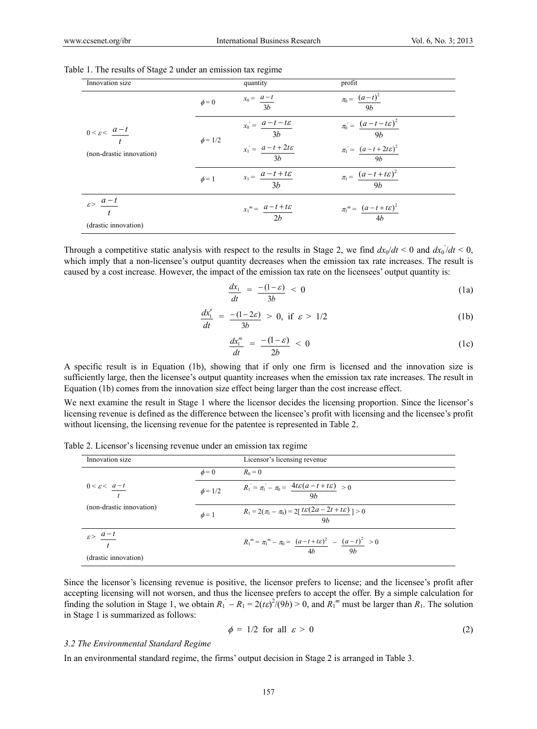| Innovation size                                                     |              | quantity                                                                        | profit                                          |
|---------------------------------------------------------------------|--------------|---------------------------------------------------------------------------------|-------------------------------------------------|
| $0 \leq \varepsilon \leq \frac{a-t}{t}$<br>(non-drastic innovation) | $\phi = 0$   | $x_0 = \frac{a-t}{3b}$                                                          | $\pi_0 = \frac{(a-t)^2}{9b}$                    |
|                                                                     | $\phi = 1/2$ | $x_0' = \frac{a - t - t\epsilon}{3b}$<br>$x_1' = \frac{a - t + 2t\epsilon}{3b}$ | $\pi_0 = \frac{(a - t - t\varepsilon)^2}{9b}$   |
|                                                                     |              |                                                                                 | $\pi_1 = \frac{(a - t + 2t\varepsilon)^2}{9b}$  |
|                                                                     | $\phi = 1$   | $x_1 = \frac{a - t + t\varepsilon}{3b}$                                         | $\pi_1 = \frac{(a - t + t\varepsilon)^2}{9b}$   |
| $\epsilon > \frac{a-t}{t}$                                          |              | $x_1^m = \frac{a - t + t\varepsilon}{2b}$                                       | $\pi_1^m = \frac{(a - t + t\varepsilon)^2}{4b}$ |
| (drastic innovation)                                                |              |                                                                                 |                                                 |

Table 1. The results of Stage 2 under an emission tax regime

Through a competitive static analysis with respect to the results in Stage 2, we find  $dx_0/dt < 0$  and  $dx_0/dt < 0$ , which imply that a non-licensee's output quantity decreases when the emission tax rate increases. The result is caused by a cost increase. However, the impact of the emission tax rate on the licensees' output quantity is:

$$
\frac{dx_1}{dt} = \frac{-(1-\varepsilon)}{3b} < 0 \tag{1a}
$$

$$
\frac{dx_1'}{dt} = \frac{-(1-2\varepsilon)}{3b} > 0, \text{ if } \varepsilon > 1/2
$$
\n(1b)

$$
\frac{dx_1^m}{dt} = \frac{-(1-\varepsilon)}{2b} < 0 \tag{1c}
$$

A specific result is in Equation (1b), showing that if only one firm is licensed and the innovation size is sufficiently large, then the licensee's output quantity increases when the emission tax rate increases. The result in Equation (1b) comes from the innovation size effect being larger than the cost increase effect.

We next examine the result in Stage 1 where the licensor decides the licensing proportion. Since the licensor's licensing revenue is defined as the difference between the licensee's profit with licensing and the licensee's profit without licensing, the licensing revenue for the patentee is represented in Table 2.

Table 2. Licensor's licensing revenue under an emission tax regime

| Innovation size                                     |              | Licensor's licensing revenue                                                                             |
|-----------------------------------------------------|--------------|----------------------------------------------------------------------------------------------------------|
| $0 < \varepsilon < a-t$<br>(non-drastic innovation) | $\phi = 0$   | $R_0 = 0$                                                                                                |
|                                                     | $\phi = 1/2$ | $R_1 = \pi_1 - \pi_0 = \frac{4t\epsilon(a - t + t\epsilon)}{2} > 0$<br>9h                                |
|                                                     | $\phi = 1$   | $R_1 = 2(\pi_1 - \pi_0) = 2\left[\frac{t\epsilon(2a - 2t + t\epsilon)}{2}\right] > 0$<br>9h              |
| $\epsilon > \frac{a-t}{t}$<br>(drastic innovation)  |              | $R_1^m = \pi_1^m - \pi_0 = \frac{(a - t + t\varepsilon)^2}{\pi} - \frac{(a - t)^2}{\pi} > 0$<br>4h<br>9h |

Since the licensor's licensing revenue is positive, the licensor prefers to license; and the licensee's profit after accepting licensing will not worsen, and thus the licensee prefers to accept the offer. By a simple calculation for finding the solution in Stage 1, we obtain  $R_1 - R_1 = 2(t\varepsilon)^2/(9b) > 0$ , and  $R_1^m$  must be larger than  $R_1$ . The solution in Stage 1 is summarized as follows:

$$
\phi = 1/2 \text{ for all } \varepsilon > 0 \tag{2}
$$

#### *3.2 The Environmental Standard Regime*

In an environmental standard regime, the firms' output decision in Stage 2 is arranged in Table 3.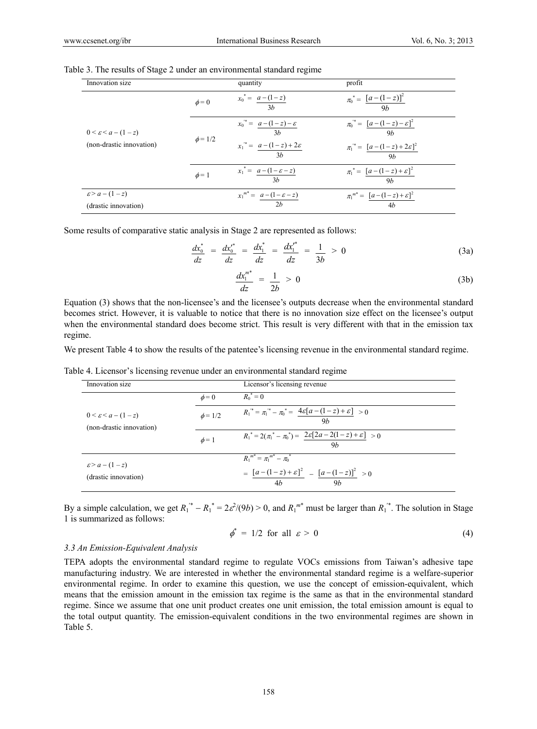|  |  |  | Table 3. The results of Stage 2 under an environmental standard regime |  |
|--|--|--|------------------------------------------------------------------------|--|
|  |  |  |                                                                        |  |
|  |  |  |                                                                        |  |

| Innovation size                                                   |              | quantity                                                                                                     | profit                                                                                                                               |
|-------------------------------------------------------------------|--------------|--------------------------------------------------------------------------------------------------------------|--------------------------------------------------------------------------------------------------------------------------------------|
| $0 \leq \varepsilon \leq a - (1 - z)$<br>(non-drastic innovation) | $\phi = 0$   | $x_0^* = \underline{a} - (1 - z)$<br>3h                                                                      | $\pi_0^* = \frac{[a - (1 - z)]^2}{9b}$                                                                                               |
|                                                                   | $\phi = 1/2$ | $x_0' = \underline{a - (1 - z) - \varepsilon}$<br>3h<br>$x_1^{\prime*} = \frac{a - (1 - z) + 2\epsilon}{3b}$ | $\pi_0^{\prime*} = \left[ a - (1-z) - \varepsilon \right]^2$<br>Qh<br>$\pi_1^{\prime^*} = \frac{[a - (1 - z) + 2\varepsilon]^2}{9b}$ |
|                                                                   | $\phi = 1$   | $x_1^* = \frac{a - (1 - \varepsilon - z)}{3b}$                                                               | $\pi_1^* = \left[ a - (1-z) + \varepsilon \right]^2$<br>9h                                                                           |
| $\varepsilon > a - (1-z)$<br>(drastic innovation)                 |              | $x_1^{m^*} = \underline{a - (1 - \varepsilon - z)}$<br>2h                                                    | $\pi_1^{m^*} = \left[ a - (1-z) + \varepsilon \right]^2$<br>4h                                                                       |

Some results of comparative static analysis in Stage 2 are represented as follows:

$$
\frac{dx_0^*}{dz} = \frac{dx_0'^*}{dz} = \frac{dx_1^*}{dz} = \frac{dx_1'^*}{dz} = \frac{1}{3b} > 0
$$
\n(3a)

$$
\frac{dx_1^{m^*}}{dz} = \frac{1}{2b} > 0
$$
 (3b)

Equation (3) shows that the non-licensee's and the licensee's outputs decrease when the environmental standard becomes strict. However, it is valuable to notice that there is no innovation size effect on the licensee's output when the environmental standard does become strict. This result is very different with that in the emission tax regime.

We present Table 4 to show the results of the patentee's licensing revenue in the environmental standard regime.

Table 4. Licensor's licensing revenue under an environmental standard regime

| Innovation size                                                   |              | Licensor's licensing revenue                                                                             |
|-------------------------------------------------------------------|--------------|----------------------------------------------------------------------------------------------------------|
|                                                                   | $\phi = 0$   | $R_0^* = 0$                                                                                              |
| $0 \leq \varepsilon \leq a - (1 - z)$<br>(non-drastic innovation) | $\phi = 1/2$ | $R_1^{\prime\prime} = \pi_1^{\prime\prime} - \pi_0^* = 4\varepsilon [a - (1-z) + \varepsilon] > 0$<br>9h |
|                                                                   | $\phi = 1$   | $R_1^* = 2(\pi_1^* - \pi_0^*) = 2\varepsilon[2a - 2(1-z) + \varepsilon] > 0$<br>9h                       |
| $\epsilon > a - (1-z)$                                            |              | $R_1^{m^*} = \pi_1^{m^*} - \pi_0^{m^*}$                                                                  |
| (drastic innovation)                                              |              | = $[a-(1-z)+\varepsilon]^2$ = $[a-(1-z)]^2 > 0$<br>9h<br>4h                                              |

By a simple calculation, we get  $R_1^* - R_1^* = 2\varepsilon^2/(9b) > 0$ , and  $R_1^{m*}$  must be larger than  $R_1^*$ . The solution in Stage 1 is summarized as follows:

$$
\phi^* = 1/2 \text{ for all } \varepsilon > 0 \tag{4}
$$

#### *3.3 An Emission-Equivalent Analysis*

TEPA adopts the environmental standard regime to regulate VOCs emissions from Taiwan's adhesive tape manufacturing industry. We are interested in whether the environmental standard regime is a welfare-superior environmental regime. In order to examine this question, we use the concept of emission-equivalent, which means that the emission amount in the emission tax regime is the same as that in the environmental standard regime. Since we assume that one unit product creates one unit emission, the total emission amount is equal to the total output quantity. The emission-equivalent conditions in the two environmental regimes are shown in Table 5.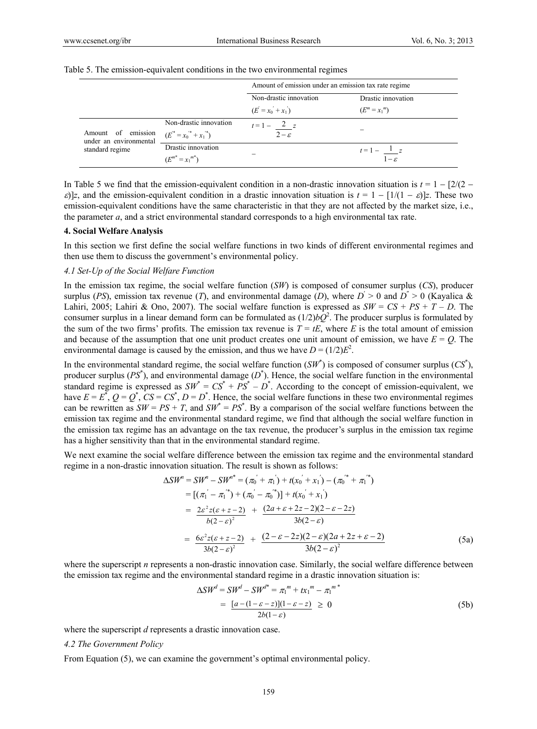|                                                                 |                                                                       | Amount of emission under an emission tax rate regime |                                    |  |
|-----------------------------------------------------------------|-----------------------------------------------------------------------|------------------------------------------------------|------------------------------------|--|
|                                                                 |                                                                       | Non-drastic innovation                               | Drastic innovation                 |  |
|                                                                 |                                                                       | $(E' = x_0' + x_1')$                                 | $(E^m = x_1^m)$                    |  |
| Amount of emission<br>under an environmental<br>standard regime | Non-drastic innovation<br>$(E^{\prime*}=x_0^{\prime*}+x_1^{\prime*})$ | $t = 1 - \frac{2}{2 - \varepsilon} z$                |                                    |  |
|                                                                 | Drastic innovation<br>$(E^{m^*} = x_1^{m^*})$                         |                                                      | $t = 1 - \frac{1}{1-\varepsilon}z$ |  |

## Table 5. The emission-equivalent conditions in the two environmental regimes

In Table 5 we find that the emission-equivalent condition in a non-drastic innovation situation is  $t = 1 - \frac{2}{2} - \frac{2}{3}$  $\varepsilon$ )*z*, and the emission-equivalent condition in a drastic innovation situation is  $t = 1 - [1/(1 - \varepsilon)]z$ . These two emission-equivalent conditions have the same characteristic in that they are not affected by the market size, i.e., the parameter *a*, and a strict environmental standard corresponds to a high environmental tax rate.

## **4. Social Welfare Analysis**

In this section we first define the social welfare functions in two kinds of different environmental regimes and then use them to discuss the government's environmental policy.

## *4.1 Set-Up of the Social Welfare Function*

In the emission tax regime, the social welfare function (*SW*) is composed of consumer surplus (*CS*), producer surplus (*PS*), emission tax revenue (*T*), and environmental damage (*D*), where  $D' > 0$  and  $D'' > 0$  (Kayalica & Lahiri, 2005; Lahiri & Ono, 2007). The social welfare function is expressed as  $SW = CS + PS + T - D$ . The consumer surplus in a linear demand form can be formulated as  $(1/2)bQ^2$ . The producer surplus is formulated by the sum of the two firms' profits. The emission tax revenue is  $T = tE$ , where *E* is the total amount of emission and because of the assumption that one unit product creates one unit amount of emission, we have  $E = Q$ . The environmental damage is caused by the emission, and thus we have  $D = (1/2)E^2$ .

In the environmental standard regime, the social welfare function  $(SW^*)$  is composed of consumer surplus  $(CS^*)$ , producer surplus  $(PS^*)$ , and environmental damage  $(D^*)$ . Hence, the social welfare function in the environmental standard regime is expressed as  $SW^* = CS^* + PS^* - D^*$ . According to the concept of emission-equivalent, we have  $E = E^*$ ,  $Q = Q^*$ ,  $CS = CS^*$ ,  $D = D^*$ . Hence, the social welfare functions in these two environmental regimes can be rewritten as  $SW = PS + T$ , and  $SW^* = PS^*$ . By a comparison of the social welfare functions between the emission tax regime and the environmental standard regime, we find that although the social welfare function in the emission tax regime has an advantage on the tax revenue, the producer's surplus in the emission tax regime has a higher sensitivity than that in the environmental standard regime.

We next examine the social welfare difference between the emission tax regime and the environmental standard regime in a non-drastic innovation situation. The result is shown as follows:

$$
\Delta SW^n = SW^n - SW^{n*} = (\pi_0' + \pi_1') + t(x_0' + x_1') - (\pi_0'' + \pi_1''')
$$
  
= 
$$
[(\pi_1' - \pi_1'') + (\pi_0' - \pi_0'')'] + t(x_0' + x_1')
$$
  
= 
$$
\frac{2\varepsilon^2 z(\varepsilon + z - 2)}{b(2 - \varepsilon)^2} + \frac{(2a + \varepsilon + 2z - 2)(2 - \varepsilon - 2z)}{3b(2 - \varepsilon)}
$$
  
= 
$$
\frac{6\varepsilon^2 z(\varepsilon + z - 2)}{3b(2 - \varepsilon)^2} + \frac{(2 - \varepsilon - 2z)(2 - \varepsilon)(2a + 2z + \varepsilon - 2)}{3b(2 - \varepsilon)^2}
$$
(5a)

where the superscript *n* represents a non-drastic innovation case. Similarly, the social welfare difference between the emission tax regime and the environmental standard regime in a drastic innovation situation is:

$$
\Delta SW^d = SW^d - SW^{d^*} = \pi_1^m + tx_1^m - {\pi_1^m}^*
$$
  
= 
$$
\frac{[a - (1 - \varepsilon - z)][1 - \varepsilon - z]}{2b(1 - \varepsilon)} \ge 0
$$
 (5b)

where the superscript *d* represents a drastic innovation case.

#### *4.2 The Government Policy*

From Equation (5), we can examine the government's optimal environmental policy.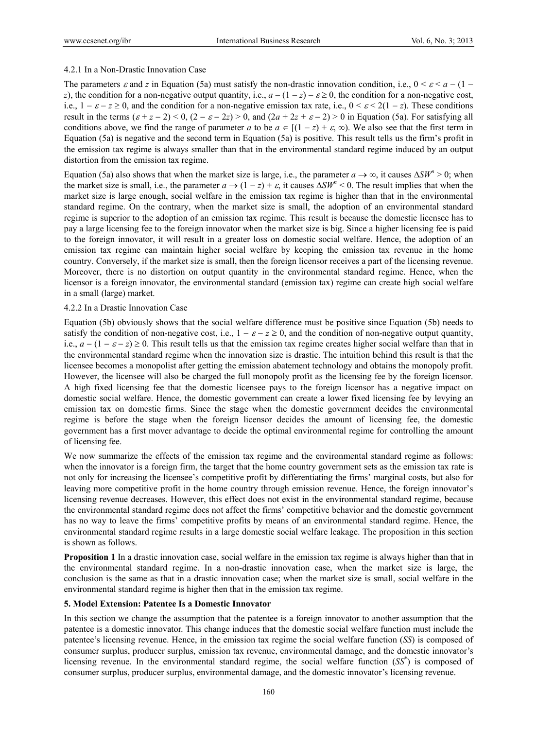# 4.2.1 In a Non-Drastic Innovation Case

The parameters  $\varepsilon$  and  $z$  in Equation (5a) must satisfy the non-drastic innovation condition, i.e.,  $0 \le \varepsilon \le a - (1$ *z*), the condition for a non-negative output quantity, i.e.,  $a - (1 - z) - \varepsilon \ge 0$ , the condition for a non-negative cost, i.e.,  $1 - \varepsilon - z \ge 0$ , and the condition for a non-negative emission tax rate, i.e.,  $0 \le \varepsilon \le 2(1 - z)$ . These conditions result in the terms  $(\varepsilon + z - 2) < 0$ ,  $(2 - \varepsilon - 2z) > 0$ , and  $(2a + 2z + \varepsilon - 2) > 0$  in Equation (5a). For satisfying all conditions above, we find the range of parameter *a* to be  $a \in [(1 - z) + \varepsilon, \infty)$ . We also see that the first term in Equation (5a) is negative and the second term in Equation (5a) is positive. This result tells us the firm's profit in the emission tax regime is always smaller than that in the environmental standard regime induced by an output distortion from the emission tax regime.

Equation (5a) also shows that when the market size is large, i.e., the parameter  $a \to \infty$ , it causes  $\Delta SW^n > 0$ ; when the market size is small, i.e., the parameter  $a \to (1 - z) + \varepsilon$ , it causes  $\Delta \mathcal{S}W^n < 0$ . The result implies that when the market size is large enough, social welfare in the emission tax regime is higher than that in the environmental standard regime. On the contrary, when the market size is small, the adoption of an environmental standard regime is superior to the adoption of an emission tax regime. This result is because the domestic licensee has to pay a large licensing fee to the foreign innovator when the market size is big. Since a higher licensing fee is paid to the foreign innovator, it will result in a greater loss on domestic social welfare. Hence, the adoption of an emission tax regime can maintain higher social welfare by keeping the emission tax revenue in the home country. Conversely, if the market size is small, then the foreign licensor receives a part of the licensing revenue. Moreover, there is no distortion on output quantity in the environmental standard regime. Hence, when the licensor is a foreign innovator, the environmental standard (emission tax) regime can create high social welfare in a small (large) market.

# 4.2.2 In a Drastic Innovation Case

Equation (5b) obviously shows that the social welfare difference must be positive since Equation (5b) needs to satisfy the condition of non-negative cost, i.e.,  $1 - \varepsilon - z \ge 0$ , and the condition of non-negative output quantity, i.e.,  $a - (1 - \varepsilon - z) \ge 0$ . This result tells us that the emission tax regime creates higher social welfare than that in the environmental standard regime when the innovation size is drastic. The intuition behind this result is that the licensee becomes a monopolist after getting the emission abatement technology and obtains the monopoly profit. However, the licensee will also be charged the full monopoly profit as the licensing fee by the foreign licensor. A high fixed licensing fee that the domestic licensee pays to the foreign licensor has a negative impact on domestic social welfare. Hence, the domestic government can create a lower fixed licensing fee by levying an emission tax on domestic firms. Since the stage when the domestic government decides the environmental regime is before the stage when the foreign licensor decides the amount of licensing fee, the domestic government has a first mover advantage to decide the optimal environmental regime for controlling the amount of licensing fee.

We now summarize the effects of the emission tax regime and the environmental standard regime as follows: when the innovator is a foreign firm, the target that the home country government sets as the emission tax rate is not only for increasing the licensee's competitive profit by differentiating the firms' marginal costs, but also for leaving more competitive profit in the home country through emission revenue. Hence, the foreign innovator's licensing revenue decreases. However, this effect does not exist in the environmental standard regime, because the environmental standard regime does not affect the firms' competitive behavior and the domestic government has no way to leave the firms' competitive profits by means of an environmental standard regime. Hence, the environmental standard regime results in a large domestic social welfare leakage. The proposition in this section is shown as follows.

**Proposition 1** In a drastic innovation case, social welfare in the emission tax regime is always higher than that in the environmental standard regime. In a non-drastic innovation case, when the market size is large, the conclusion is the same as that in a drastic innovation case; when the market size is small, social welfare in the environmental standard regime is higher then that in the emission tax regime.

## **5. Model Extension: Patentee Is a Domestic Innovator**

In this section we change the assumption that the patentee is a foreign innovator to another assumption that the patentee is a domestic innovator. This change induces that the domestic social welfare function must include the patentee's licensing revenue. Hence, in the emission tax regime the social welfare function (*SS*) is composed of consumer surplus, producer surplus, emission tax revenue, environmental damage, and the domestic innovator's licensing revenue. In the environmental standard regime, the social welfare function (*SS*<sup>\*</sup>) is composed of consumer surplus, producer surplus, environmental damage, and the domestic innovator's licensing revenue.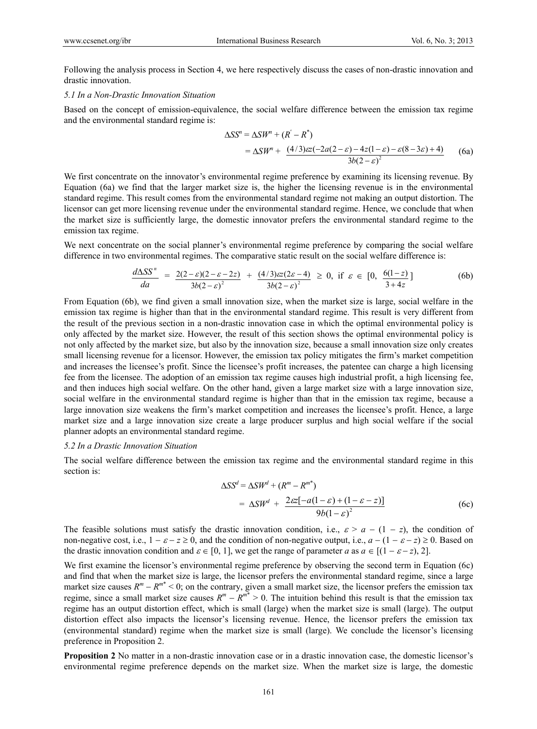Following the analysis process in Section 4, we here respectively discuss the cases of non-drastic innovation and drastic innovation.

#### *5.1 In a Non-Drastic Innovation Situation*

Based on the concept of emission-equivalence, the social welfare difference between the emission tax regime and the environmental standard regime is:

$$
\Delta SS^{n} = \Delta SW^{n} + (R^{'} - R^{*})
$$
  
= 
$$
\Delta SW^{n} + \frac{(4/3)\varepsilon(-2a(2-\varepsilon) - 4\varepsilon(1-\varepsilon) - \varepsilon(8-3\varepsilon) + 4)}{3b(2-\varepsilon)^{2}}
$$
 (6a)

We first concentrate on the innovator's environmental regime preference by examining its licensing revenue. By Equation (6a) we find that the larger market size is, the higher the licensing revenue is in the environmental standard regime. This result comes from the environmental standard regime not making an output distortion. The licensor can get more licensing revenue under the environmental standard regime. Hence, we conclude that when the market size is sufficiently large, the domestic innovator prefers the environmental standard regime to the emission tax regime.

We next concentrate on the social planner's environmental regime preference by comparing the social welfare difference in two environmental regimes. The comparative static result on the social welfare difference is:

$$
\frac{d\Delta SS^n}{da} = \frac{2(2-\varepsilon)(2-\varepsilon-2z)}{3b(2-\varepsilon)^2} + \frac{(4/3)\varepsilon(2\varepsilon-4)}{3b(2-\varepsilon)^2} \ge 0, \text{ if } \varepsilon \in [0, \frac{6(1-z)}{3+4z}]
$$
 (6b)

From Equation (6b), we find given a small innovation size, when the market size is large, social welfare in the emission tax regime is higher than that in the environmental standard regime. This result is very different from the result of the previous section in a non-drastic innovation case in which the optimal environmental policy is only affected by the market size. However, the result of this section shows the optimal environmental policy is not only affected by the market size, but also by the innovation size, because a small innovation size only creates small licensing revenue for a licensor. However, the emission tax policy mitigates the firm's market competition and increases the licensee's profit. Since the licensee's profit increases, the patentee can charge a high licensing fee from the licensee. The adoption of an emission tax regime causes high industrial profit, a high licensing fee, and then induces high social welfare. On the other hand, given a large market size with a large innovation size, social welfare in the environmental standard regime is higher than that in the emission tax regime, because a large innovation size weakens the firm's market competition and increases the licensee's profit. Hence, a large market size and a large innovation size create a large producer surplus and high social welfare if the social planner adopts an environmental standard regime.

## *5.2 In a Drastic Innovation Situation*

The social welfare difference between the emission tax regime and the environmental standard regime in this section is:

$$
\Delta SS^d = \Delta SW^d + (R^m - R^{m^*})
$$
  
= 
$$
\Delta SW^d + \frac{2\epsilon \epsilon [-a(1-\epsilon)+(1-\epsilon-z)]}{9b(1-\epsilon)^2}
$$
 (6c)

The feasible solutions must satisfy the drastic innovation condition, i.e.,  $\varepsilon > a - (1 - z)$ , the condition of non-negative cost, i.e.,  $1 - \varepsilon - z \ge 0$ , and the condition of non-negative output, i.e.,  $a - (1 - \varepsilon - z) \ge 0$ . Based on the drastic innovation condition and  $\varepsilon \in [0, 1]$ , we get the range of parameter *a* as  $a \in [(1 - \varepsilon - z), 2]$ .

We first examine the licensor's environmental regime preference by observing the second term in Equation (6c) and find that when the market size is large, the licensor prefers the environmental standard regime, since a large market size causes  $R^m - R^{m^*} < 0$ ; on the contrary, given a small market size, the licensor prefers the emission tax regime, since a small market size causes  $R^m - R^{m*} > 0$ . The intuition behind this result is that the emission tax regime has an output distortion effect, which is small (large) when the market size is small (large). The output distortion effect also impacts the licensor's licensing revenue. Hence, the licensor prefers the emission tax (environmental standard) regime when the market size is small (large). We conclude the licensor's licensing preference in Proposition 2.

**Proposition 2** No matter in a non-drastic innovation case or in a drastic innovation case, the domestic licensor's environmental regime preference depends on the market size. When the market size is large, the domestic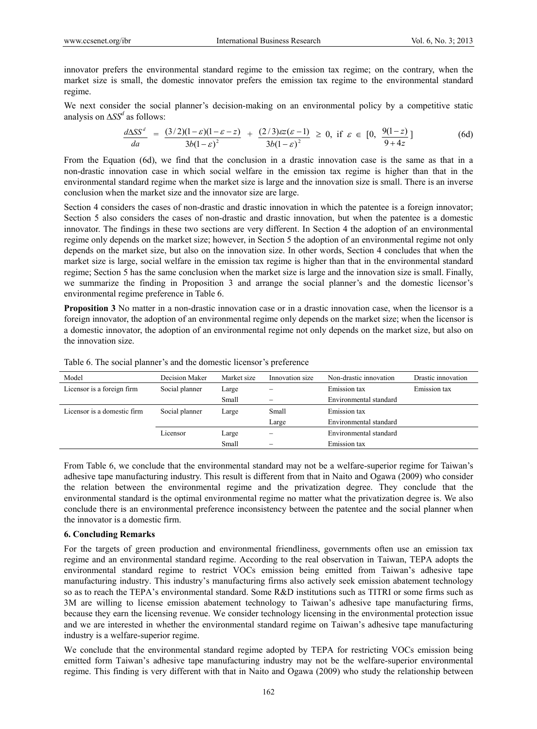innovator prefers the environmental standard regime to the emission tax regime; on the contrary, when the market size is small, the domestic innovator prefers the emission tax regime to the environmental standard regime.

We next consider the social planner's decision-making on an environmental policy by a competitive static analysis on  $\Delta SS^d$  as follows:

$$
\frac{d\Delta SS^d}{da} = \frac{(3/2)(1-\varepsilon)(1-\varepsilon-z)}{3b(1-\varepsilon)^2} + \frac{(2/3)\varepsilon(\varepsilon-1)}{3b(1-\varepsilon)^2} \ge 0, \text{ if } \varepsilon \in [0, \frac{9(1-z)}{9+4z}]
$$
(6d)

From the Equation (6d), we find that the conclusion in a drastic innovation case is the same as that in a non-drastic innovation case in which social welfare in the emission tax regime is higher than that in the environmental standard regime when the market size is large and the innovation size is small. There is an inverse conclusion when the market size and the innovator size are large.

Section 4 considers the cases of non-drastic and drastic innovation in which the patentee is a foreign innovator; Section 5 also considers the cases of non-drastic and drastic innovation, but when the patentee is a domestic innovator. The findings in these two sections are very different. In Section 4 the adoption of an environmental regime only depends on the market size; however, in Section 5 the adoption of an environmental regime not only depends on the market size, but also on the innovation size. In other words, Section 4 concludes that when the market size is large, social welfare in the emission tax regime is higher than that in the environmental standard regime; Section 5 has the same conclusion when the market size is large and the innovation size is small. Finally, we summarize the finding in Proposition 3 and arrange the social planner's and the domestic licensor's environmental regime preference in Table 6.

**Proposition 3** No matter in a non-drastic innovation case or in a drastic innovation case, when the licensor is a foreign innovator, the adoption of an environmental regime only depends on the market size; when the licensor is a domestic innovator, the adoption of an environmental regime not only depends on the market size, but also on the innovation size.

| Model                       | Decision Maker | Market size | Innovation size | Non-drastic innovation | Drastic innovation  |
|-----------------------------|----------------|-------------|-----------------|------------------------|---------------------|
| Licensor is a foreign firm  | Social planner | Large       |                 | <b>Emission</b> tax    | <b>Emission</b> tax |
|                             |                | Small       |                 | Environmental standard |                     |
| Licensor is a domestic firm | Social planner | Large       | Small           | <b>Emission</b> tax    |                     |
|                             |                |             | Large           | Environmental standard |                     |
|                             | Licensor       | Large       |                 | Environmental standard |                     |
|                             |                | Small       |                 | <b>Emission</b> tax    |                     |

Table 6. The social planner's and the domestic licensor's preference

From Table 6, we conclude that the environmental standard may not be a welfare-superior regime for Taiwan's adhesive tape manufacturing industry. This result is different from that in Naito and Ogawa (2009) who consider the relation between the environmental regime and the privatization degree. They conclude that the environmental standard is the optimal environmental regime no matter what the privatization degree is. We also conclude there is an environmental preference inconsistency between the patentee and the social planner when the innovator is a domestic firm.

## **6. Concluding Remarks**

For the targets of green production and environmental friendliness, governments often use an emission tax regime and an environmental standard regime. According to the real observation in Taiwan, TEPA adopts the environmental standard regime to restrict VOCs emission being emitted from Taiwan's adhesive tape manufacturing industry. This industry's manufacturing firms also actively seek emission abatement technology so as to reach the TEPA's environmental standard. Some R&D institutions such as TITRI or some firms such as 3M are willing to license emission abatement technology to Taiwan's adhesive tape manufacturing firms, because they earn the licensing revenue. We consider technology licensing in the environmental protection issue and we are interested in whether the environmental standard regime on Taiwan's adhesive tape manufacturing industry is a welfare-superior regime.

We conclude that the environmental standard regime adopted by TEPA for restricting VOCs emission being emitted form Taiwan's adhesive tape manufacturing industry may not be the welfare-superior environmental regime. This finding is very different with that in Naito and Ogawa (2009) who study the relationship between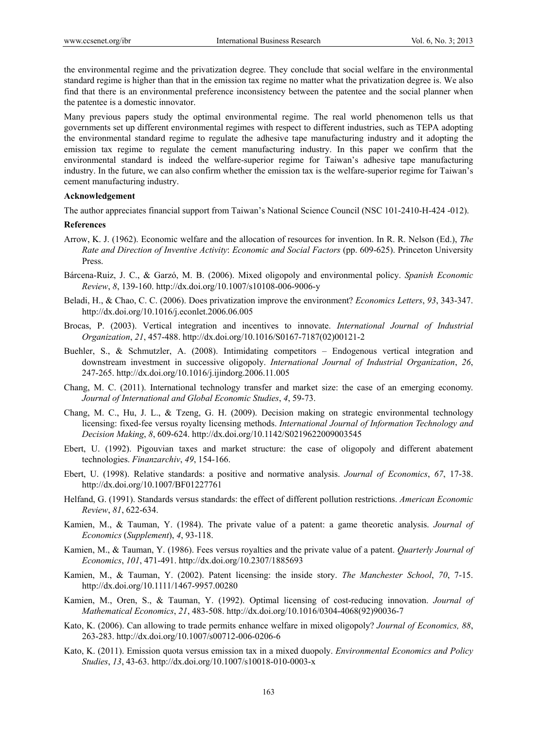the environmental regime and the privatization degree. They conclude that social welfare in the environmental standard regime is higher than that in the emission tax regime no matter what the privatization degree is. We also find that there is an environmental preference inconsistency between the patentee and the social planner when the patentee is a domestic innovator.

Many previous papers study the optimal environmental regime. The real world phenomenon tells us that governments set up different environmental regimes with respect to different industries, such as TEPA adopting the environmental standard regime to regulate the adhesive tape manufacturing industry and it adopting the emission tax regime to regulate the cement manufacturing industry. In this paper we confirm that the environmental standard is indeed the welfare-superior regime for Taiwan's adhesive tape manufacturing industry. In the future, we can also confirm whether the emission tax is the welfare-superior regime for Taiwan's cement manufacturing industry.

## **Acknowledgement**

The author appreciates financial support from Taiwan's National Science Council (NSC 101-2410-H-424 -012).

## **References**

- Arrow, K. J. (1962). Economic welfare and the allocation of resources for invention. In R. R. Nelson (Ed.), *The Rate and Direction of Inventive Activity*: *Economic and Social Factors* (pp. 609-625). Princeton University Press.
- Bárcena-Ruiz, J. C., & Garzó, M. B. (2006). Mixed oligopoly and environmental policy. *Spanish Economic Review*, *8*, 139-160. http://dx.doi.org/10.1007/s10108-006-9006-y
- Beladi, H., & Chao, C. C. (2006). Does privatization improve the environment? *Economics Letters*, *93*, 343-347. http://dx.doi.org/10.1016/j.econlet.2006.06.005
- Brocas, P. (2003). Vertical integration and incentives to innovate. *International Journal of Industrial Organization*, *21*, 457-488. http://dx.doi.org/10.1016/S0167-7187(02)00121-2
- Buehler, S., & Schmutzler, A. (2008). Intimidating competitors Endogenous vertical integration and downstream investment in successive oligopoly. *International Journal of Industrial Organization*, *26*, 247-265. http://dx.doi.org/10.1016/j.ijindorg.2006.11.005
- Chang, M. C. (2011). International technology transfer and market size: the case of an emerging economy. *Journal of International and Global Economic Studies*, *4*, 59-73.
- Chang, M. C., Hu, J. L., & Tzeng, G. H. (2009). Decision making on strategic environmental technology licensing: fixed-fee versus royalty licensing methods. *International Journal of Information Technology and Decision Making*, *8*, 609-624. http://dx.doi.org/10.1142/S0219622009003545
- Ebert, U. (1992). Pigouvian taxes and market structure: the case of oligopoly and different abatement technologies. *Finanzarchiv*, *49*, 154-166.
- Ebert, U. (1998). Relative standards: a positive and normative analysis. *Journal of Economics*, *67*, 17-38. http://dx.doi.org/10.1007/BF01227761
- Helfand, G. (1991). Standards versus standards: the effect of different pollution restrictions. *American Economic Review*, *81*, 622-634.
- Kamien, M., & Tauman, Y. (1984). The private value of a patent: a game theoretic analysis. *Journal of Economics* (*Supplement*), *4*, 93-118.
- Kamien, M., & Tauman, Y. (1986). Fees versus royalties and the private value of a patent. *Quarterly Journal of Economics*, *101*, 471-491. http://dx.doi.org/10.2307/1885693
- Kamien, M., & Tauman, Y. (2002). Patent licensing: the inside story. *The Manchester School*, *70*, 7-15. http://dx.doi.org/10.1111/1467-9957.00280
- Kamien, M., Oren, S., & Tauman, Y. (1992). Optimal licensing of cost-reducing innovation. *Journal of Mathematical Economics*, *21*, 483-508. http://dx.doi.org/10.1016/0304-4068(92)90036-7
- Kato, K. (2006). Can allowing to trade permits enhance welfare in mixed oligopoly? *Journal of Economics, 88*, 263-283. http://dx.doi.org/10.1007/s00712-006-0206-6
- Kato, K. (2011). Emission quota versus emission tax in a mixed duopoly. *Environmental Economics and Policy Studies*, *13*, 43-63. http://dx.doi.org/10.1007/s10018-010-0003-x